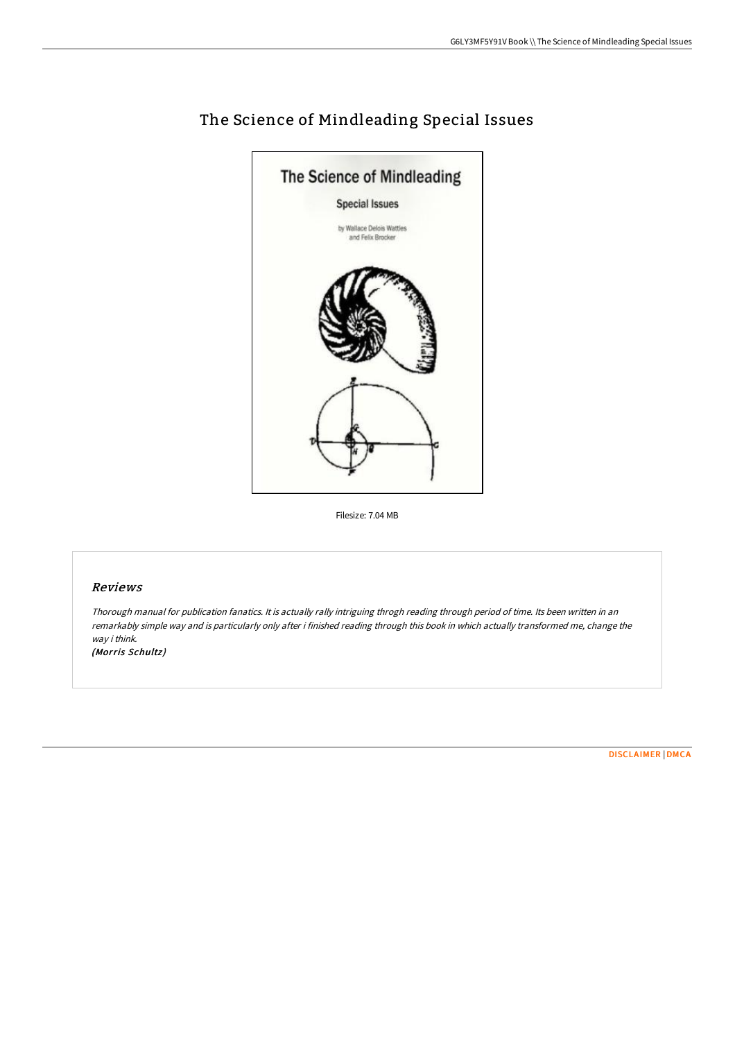

# The Science of Mindleading Special Issues

Filesize: 7.04 MB

#### Reviews

Thorough manual for publication fanatics. It is actually rally intriguing throgh reading through period of time. Its been written in an remarkably simple way and is particularly only after i finished reading through this book in which actually transformed me, change the way i think.

(Morris Schultz)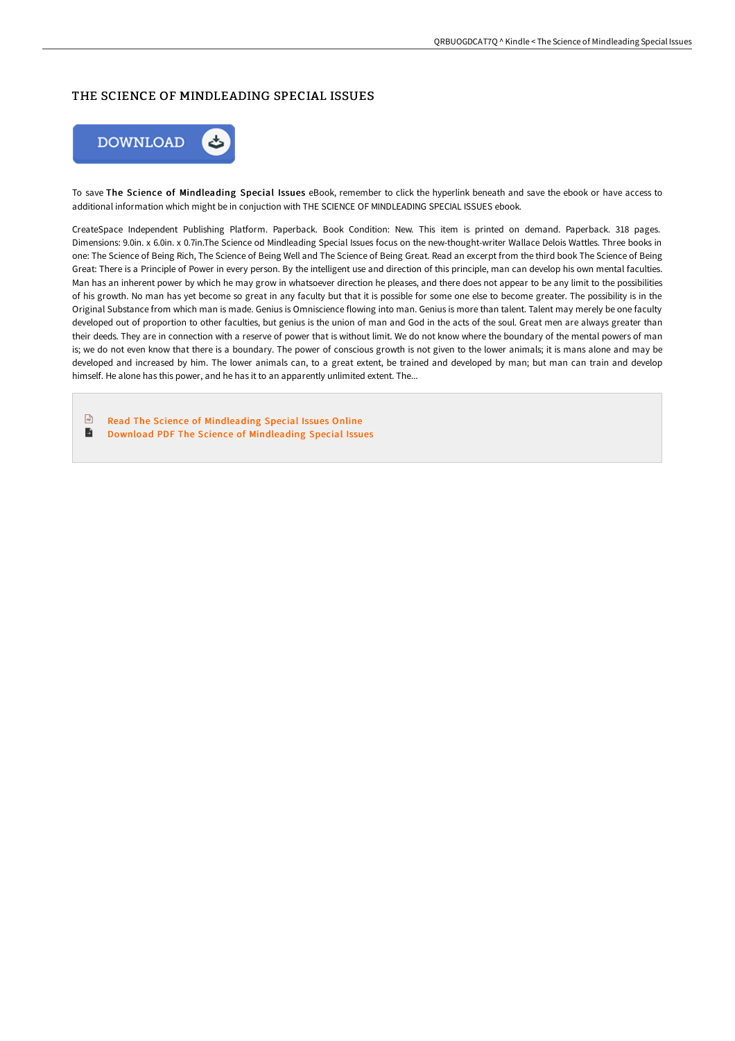## THE SCIENCE OF MINDLEADING SPECIAL ISSUES



To save The Science of Mindleading Special Issues eBook, remember to click the hyperlink beneath and save the ebook or have access to additional information which might be in conjuction with THE SCIENCE OF MINDLEADING SPECIAL ISSUES ebook.

CreateSpace Independent Publishing Platform. Paperback. Book Condition: New. This item is printed on demand. Paperback. 318 pages. Dimensions: 9.0in. x 6.0in. x 0.7in.The Science od Mindleading Special Issues focus on the new-thought-writer Wallace Delois Wattles. Three books in one: The Science of Being Rich, The Science of Being Well and The Science of Being Great. Read an excerpt from the third book The Science of Being Great: There is a Principle of Power in every person. By the intelligent use and direction of this principle, man can develop his own mental faculties. Man has an inherent power by which he may grow in whatsoever direction he pleases, and there does not appear to be any limit to the possibilities of his growth. No man has yet become so great in any faculty but that it is possible for some one else to become greater. The possibility is in the Original Substance from which man is made. Genius is Omniscience flowing into man. Genius is more than talent. Talent may merely be one faculty developed out of proportion to other faculties, but genius is the union of man and God in the acts of the soul. Great men are always greater than their deeds. They are in connection with a reserve of power that is without limit. We do not know where the boundary of the mental powers of man is; we do not even know that there is a boundary. The power of conscious growth is not given to the lower animals; it is mans alone and may be developed and increased by him. The lower animals can, to a great extent, be trained and developed by man; but man can train and develop himself. He alone has this power, and he has it to an apparently unlimited extent. The...

 $\sqrt{n}$ Read The Science of [Mindleading](http://digilib.live/the-science-of-mindleading-special-issues.html) Special Issues Online Ð Download PDF The Science of [Mindleading](http://digilib.live/the-science-of-mindleading-special-issues.html) Special Issues